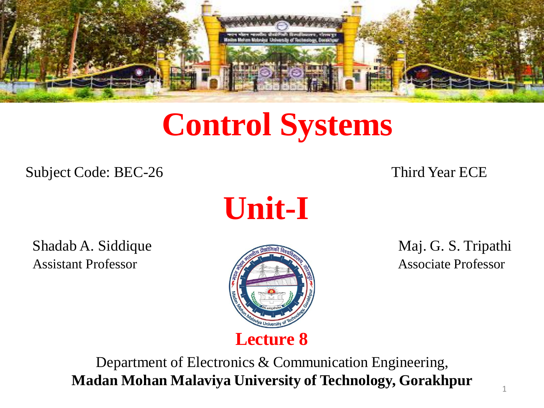

# **Control Systems**

Subject Code: BEC-26 Third Year ECE

**Unit-I**

Shadab A. Siddique **Maj. G. S. Tripathi** Assistant Professor **Associate Professor** Associate Professor



Department of Electronics & Communication Engineering, **Madan Mohan Malaviya University of Technology, Gorakhpur**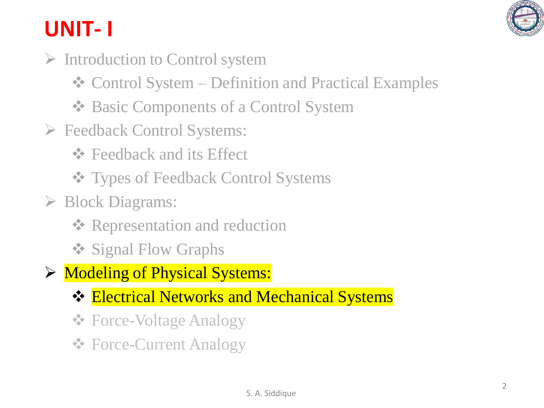

# **UNIT- I**

- ➢ Introduction to Control system
	- ❖ Control System Definition and Practical Examples
	- ❖ Basic Components of a Control System
- ➢ Feedback Control Systems:
	- ❖ Feedback and its Effect
	- ❖ Types of Feedback Control Systems
- ➢ Block Diagrams:
	- **❖ Representation and reduction**
	- ❖ Signal Flow Graphs
- ➢ Modeling of Physical Systems:
	- ❖ Electrical Networks and Mechanical Systems
	- ❖ Force-Voltage Analogy
	- ❖ Force-Current Analogy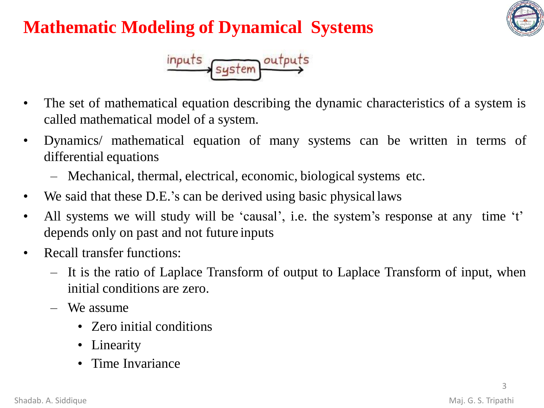# **Mathematic Modeling of Dynamical Systems**





- The set of mathematical equation describing the dynamic characteristics of a system is called mathematical model of a system.
- Dynamics/ mathematical equation of many systems can be written in terms of differential equations
	- Mechanical, thermal, electrical, economic, biological systems etc.
- We said that these D.E.'s can be derived using basic physical laws
- All systems we will study will be 'causal', i.e. the system's response at any time 't' depends only on past and not future inputs
- Recall transfer functions:
	- It is the ratio of Laplace Transform of output to Laplace Transform of input, when initial conditions are zero.
	- We assume
		- Zero initial conditions
		- Linearity
		- Time Invariance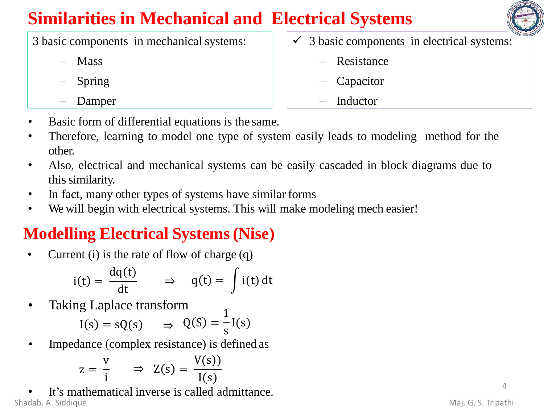## **Similarities in Mechanical and Electrical Systems**

- 3 basic components in mechanical systems:
	- Mass
	- Spring
	- Damper
- 3 basic components in electrical systems:
	- Resistance
	- Capacitor
	- **Inductor**
- Basic form of differential equations is the same.
- Therefore, learning to model one type of system easily leads to modeling method for the other.
- Also, electrical and mechanical systems can be easily cascaded in block diagrams due to this similarity.
- In fact, many other types of systems have similar forms
- We will begin with electrical systems. This will make modeling mech easier!

### **Modelling Electrical Systems(Nise)**

• Current (i) is the rate of flow of charge (q)

$$
i(t) = \frac{dq(t)}{dt} \qquad \Rightarrow \quad q(t) = \int i(t) dt
$$

Taking Laplace transform

$$
I(s) = sQ(s) \qquad \Rightarrow \quad Q(S) = \frac{1}{s}I(s)
$$

• Impedance (complex resistance) is defined as

$$
z = \frac{v}{i} \qquad \Rightarrow \quad Z(s) = \frac{V(s)}{I(s)}
$$

It's mathematical inverse is called admittance. Shadab. A. Siddique **Maj. G. S. Tripathi**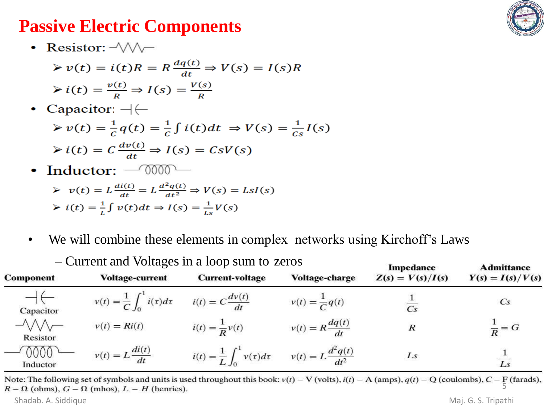#### **Passive Electric Components**



• Resistor:  $\sqrt{2}$ 

$$
\triangleright v(t) = i(t)R = R \frac{dq(t)}{dt} \Rightarrow V(s) = I(s)R
$$
  

$$
\triangleright i(t) = \frac{v(t)}{R} \Rightarrow I(s) = \frac{V(s)}{R}
$$

Capacitor:  $-\leftarrow$ 

$$
\triangleright v(t) = \frac{1}{c} q(t) = \frac{1}{c} \int i(t) dt \Rightarrow V(s) = \frac{1}{c_s} I(s)
$$
  
 
$$
\triangleright i(t) = C \frac{dv(t)}{dt} \Rightarrow I(s) = CsV(s)
$$

Inductor:  $-$  0000 –  $\bullet$ 

$$
\triangleright \ v(t) = L \frac{di(t)}{dt} = L \frac{d^2 q(t)}{dt^2} \Rightarrow V(s) = LsI(s)
$$

$$
\triangleright \ i(t) = \frac{1}{L} \int v(t)dt \Rightarrow I(s) = \frac{1}{Ls}V(s)
$$

• We will combine these elements in complex networks using Kirchoff's Laws

| <b>Component</b> | <b>Voltage-current</b>                                                  | <b>Current-voltage</b>                                                       | <b>Voltage-charge</b>       | Impedance<br>$Z(s) = V(s)/I(s)$ | Admittance<br>$Y(s) = I(s)/V(s)$ |
|------------------|-------------------------------------------------------------------------|------------------------------------------------------------------------------|-----------------------------|---------------------------------|----------------------------------|
| Capacitor        | $v(t) = \frac{1}{C} \int_0^1 i(\tau) d\tau$ $i(t) = C \frac{dv(t)}{dt}$ |                                                                              | $v(t) = \frac{1}{C}q(t)$    |                                 | $\mathbb{C}^S$                   |
| Resistor         | $v(t) = Ri(t)$                                                          | $i(t) = \frac{1}{R}v(t)$                                                     | $v(t) = R \frac{dq(t)}{dt}$ | R                               | $\frac{1}{R} = G$                |
| 0000<br>Inductor | $v(t) = L \frac{di(t)}{dt}$                                             | $i(t) = \frac{1}{L} \int_0^1 v(\tau) d\tau$ $v(t) = L \frac{d^2 q(t)}{dt^2}$ |                             | Ls                              | $\overline{Ls}$                  |

– Current and Voltages in a loop sum to zeros

Note: The following set of symbols and units is used throughout this book:  $v(t) - V$  (volts),  $i(t) - A$  (amps),  $q(t) - Q$  (coulombs),  $C - F$  (farads),  $R - \Omega$  (ohms),  $G - \Omega$  (mhos),  $L - H$  (henries).

Shadab. A. Siddique Maj. G. S. Tripathi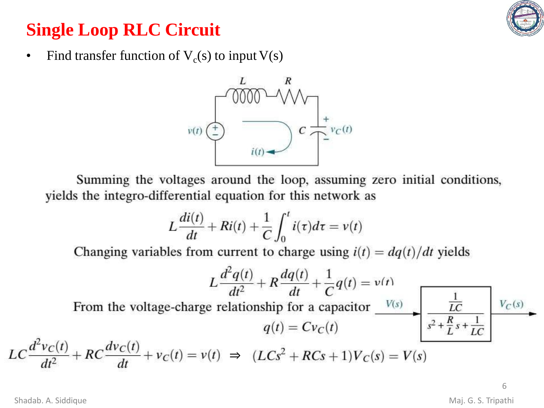### **Single Loop RLC Circuit**



• Find transfer function of  $V_c(s)$  to input  $V(s)$ 



Summing the voltages around the loop, assuming zero initial conditions, yields the integro-differential equation for this network as

$$
L\frac{di(t)}{dt} + Ri(t) + \frac{1}{C} \int_0^t i(\tau)d\tau = v(t)
$$

Changing variables from current to charge using  $i(t) = dq(t)/dt$  yields

$$
L\frac{d^2q(t)}{dt^2} + R\frac{dq(t)}{dt} + \frac{1}{C}q(t) = v(t)
$$
  
From the voltage-charge relationship for a capacitor  $\frac{V(s)}{v(s)}$   $\frac{\frac{1}{LC}}{\frac{1}{s^2 + \frac{R}{L}s + \frac{1}{LC}}}$   $V_C(s)$   

$$
LC\frac{d^2v_C(t)}{dt^2} + RC\frac{dv_C(t)}{dt} + v_C(t) = v(t) \implies (LCs^2 + RCs + 1)V_C(s) = V(s)
$$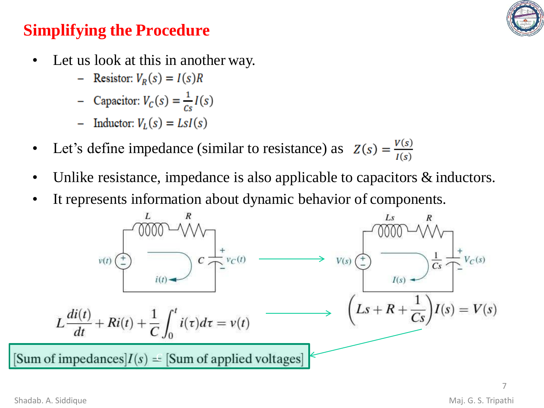

#### **Simplifying the Procedure**

- Let us look at this in another way.
	- Resistor:  $V_R(s) = I(s)R$
	- Capacitor:  $V_c(s) = \frac{1}{c_s}I(s)$
	- Inductor:  $V_L(s) = LsI(s)$
- Let's define impedance (similar to resistance) as  $Z(s) = \frac{V(s)}{I(s)}$
- Unlike resistance, impedance is also applicable to capacitors & inductors.
- It represents information about dynamic behavior of components.

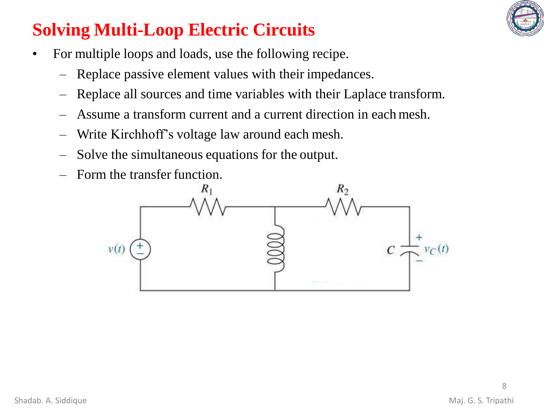

### **Solving Multi-Loop Electric Circuits**

- For multiple loops and loads, use the following recipe.
	- Replace passive element values with their impedances.
	- Replace all sources and time variables with their Laplace transform.
	- Assume a transform current and a current direction in each mesh.
	- Write Kirchhoff's voltage law around each mesh.
	- Solve the simultaneous equations for the output.
	- Form the transfer function.

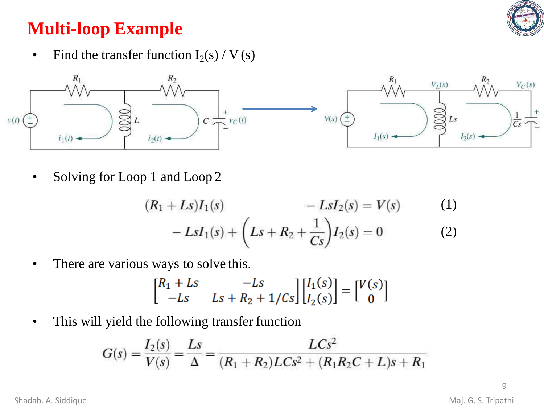

### **Multi-loop Example**

• Find the transfer function  $I_2(s) / V(s)$ 



• Solving for Loop 1 and Loop 2

$$
(R_1 + Ls)I_1(s) - LsI_2(s) = V(s)
$$
(1)  
- LsI<sub>1</sub>(s) +  $\left(Ls + R_2 + \frac{1}{Cs}\right)I_2(s) = 0$  (2)

• There are various ways to solve this.

$$
\begin{bmatrix} R_1 + Ls & -Ls \\ -Ls & Ls + R_2 + 1/Cs \end{bmatrix} \begin{bmatrix} I_1(s) \\ I_2(s) \end{bmatrix} = \begin{bmatrix} V(s) \\ 0 \end{bmatrix}
$$

• This will yield the following transfer function

$$
G(s) = \frac{I_2(s)}{V(s)} = \frac{Ls}{\Delta} = \frac{LCs^2}{(R_1 + R_2)LCs^2 + (R_1R_2C + L)s + R_1}
$$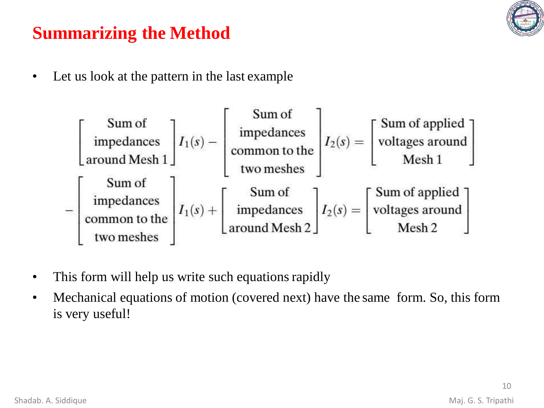

### **Summarizing the Method**

• Let us look at the pattern in the last example

$$
\begin{bmatrix}\n\text{Sum of} \\
\text{impedances} \\
\text{around Mesh 1}\n\end{bmatrix}\nI_1(s) - \begin{bmatrix}\n\text{Sum of} \\
\text{impedances} \\
\text{two meshes}\n\end{bmatrix}\nI_2(s) = \begin{bmatrix}\n\text{Sum of applied} \\
\text{voltages around} \\
\text{Mesh 1}\n\end{bmatrix}
$$
\n
$$
-\begin{bmatrix}\n\text{Sum of} \\
\text{impedances} \\
\text{common to the} \\
\text{common to the} \\
\text{common to the} \\
\text{two meshes}\n\end{bmatrix}\nI_1(s) + \begin{bmatrix}\n\text{Sum of} \\
\text{sum of} \\
\text{impedances} \\
\text{around Mesh 2}\n\end{bmatrix}\nI_2(s) = \begin{bmatrix}\n\text{Sum of applied} \\
\text{voltages around} \\
\text{Mesh 2}\n\end{bmatrix}
$$

- This form will help us write such equations rapidly
- Mechanical equations of motion (covered next) have the same form. So, this form is very useful!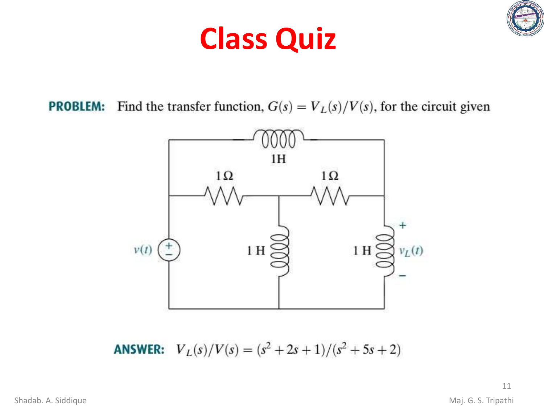# **Class Quiz**



Find the transfer function,  $G(s) = V_L(s)/V(s)$ , for the circuit given **PROBLEM:** 



 $V_L(s)/V(s) = (s^2 + 2s + 1)/(s^2 + 5s + 2)$ **ANSWER:**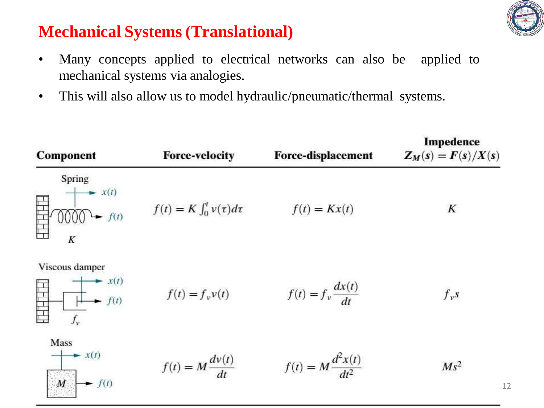

#### **Mechanical Systems (Translational)**

- Many concepts applied to electrical networks can also be applied to mechanical systems via analogies.
- This will also allow us to model hydraulic/pneumatic/thermal systems.

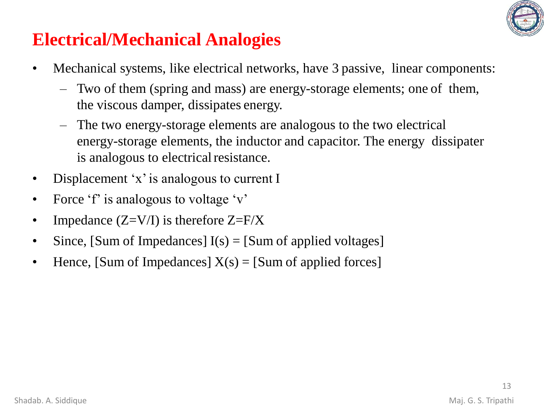

### **Electrical/Mechanical Analogies**

- Mechanical systems, like electrical networks, have 3 passive, linear components:
	- Two of them (spring and mass) are energy-storage elements; one of them, the viscous damper, dissipates energy.
	- The two energy-storage elements are analogous to the two electrical energy-storage elements, the inductor and capacitor. The energy dissipater is analogous to electrical resistance.
- Displacement 'x' is analogous to current I
- Force 'f' is analogous to voltage 'v'
- Impedance  $(Z=V/I)$  is therefore  $Z=$ F/X
- Since, [Sum of Impedances]  $I(s) =$  [Sum of applied voltages]
- Hence, [Sum of Impedances]  $X(s) =$  [Sum of applied forces]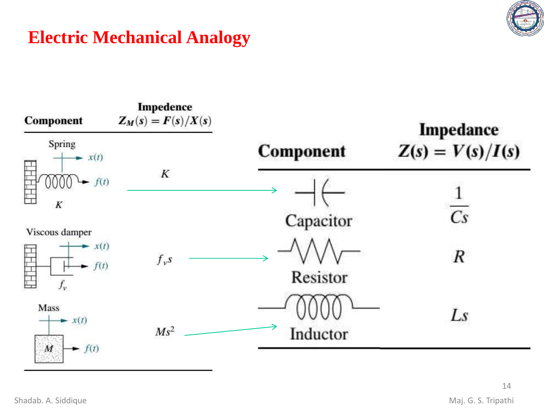

#### **Electric Mechanical Analogy**

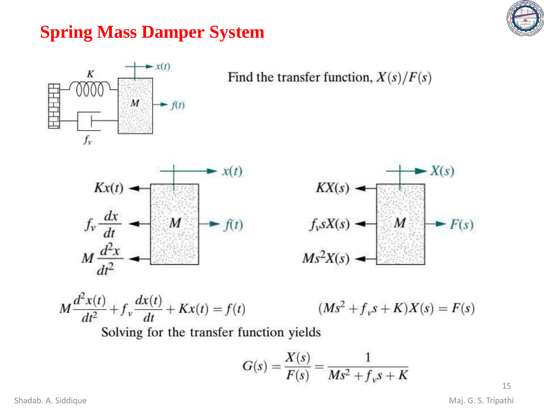### **Spring Mass Damper System**





$$
M\frac{d^2x(t)}{dt^2} + f_v \frac{dx(t)}{dt} + Kx(t) = f(t)
$$
 (Ms<sup>2</sup> + f<sub>v</sub>s + K)X(s) = F(s)  
Solving for the transfer function yields

Solving for the transfer function yields

$$
G(s) = \frac{X(s)}{F(s)} = \frac{1}{Ms^2 + f_v s + K}
$$

Shadab. A. Siddique Maj. G. S. Tripathi